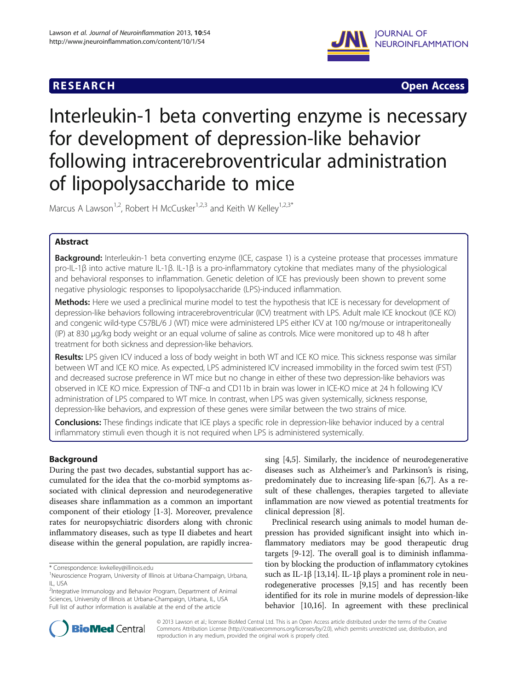# **RESEARCH CHINESE ARCH CHINESE ARCH CHINESE ARCH <b>CHINESE ARCH**



# Interleukin-1 beta converting enzyme is necessary for development of depression-like behavior following intracerebroventricular administration of lipopolysaccharide to mice

Marcus A Lawson<sup>1,2</sup>, Robert H McCusker<sup>1,2,3</sup> and Keith W Kelley<sup>1,2,3\*</sup>

# Abstract

Background: Interleukin-1 beta converting enzyme (ICE, caspase 1) is a cysteine protease that processes immature pro-IL-1β into active mature IL-1β. IL-1β is a pro-inflammatory cytokine that mediates many of the physiological and behavioral responses to inflammation. Genetic deletion of ICE has previously been shown to prevent some negative physiologic responses to lipopolysaccharide (LPS)-induced inflammation.

Methods: Here we used a preclinical murine model to test the hypothesis that ICE is necessary for development of depression-like behaviors following intracerebroventricular (ICV) treatment with LPS. Adult male ICE knockout (ICE KO) and congenic wild-type C57BL/6 J (WT) mice were administered LPS either ICV at 100 ng/mouse or intraperitoneally (IP) at 830 μg/kg body weight or an equal volume of saline as controls. Mice were monitored up to 48 h after treatment for both sickness and depression-like behaviors.

Results: LPS given ICV induced a loss of body weight in both WT and ICE KO mice. This sickness response was similar between WT and ICE KO mice. As expected, LPS administered ICV increased immobility in the forced swim test (FST) and decreased sucrose preference in WT mice but no change in either of these two depression-like behaviors was observed in ICE KO mice. Expression of TNF-α and CD11b in brain was lower in ICE-KO mice at 24 h following ICV administration of LPS compared to WT mice. In contrast, when LPS was given systemically, sickness response, depression-like behaviors, and expression of these genes were similar between the two strains of mice.

Conclusions: These findings indicate that ICE plays a specific role in depression-like behavior induced by a central inflammatory stimuli even though it is not required when LPS is administered systemically.

# Background

During the past two decades, substantial support has accumulated for the idea that the co-morbid symptoms associated with clinical depression and neurodegenerative diseases share inflammation as a common an important component of their etiology [[1-3](#page-10-0)]. Moreover, prevalence rates for neuropsychiatric disorders along with chronic inflammatory diseases, such as type II diabetes and heart disease within the general population, are rapidly increa-

<sup>2</sup>Integrative Immunology and Behavior Program, Department of Animal Sciences, University of Illinois at Urbana-Champaign, Urbana, IL, USA Full list of author information is available at the end of the article

sing [\[4,5](#page-10-0)]. Similarly, the incidence of neurodegenerative diseases such as Alzheimer's and Parkinson's is rising, predominately due to increasing life-span [[6,7\]](#page-10-0). As a result of these challenges, therapies targeted to alleviate inflammation are now viewed as potential treatments for clinical depression [\[8](#page-10-0)].

Preclinical research using animals to model human depression has provided significant insight into which inflammatory mediators may be good therapeutic drug targets [[9](#page-10-0)-[12](#page-10-0)]. The overall goal is to diminish inflammation by blocking the production of inflammatory cytokines such as IL-1β [\[13,14](#page-10-0)]. IL-1β plays a prominent role in neurodegenerative processes [\[9,15\]](#page-10-0) and has recently been identified for its role in murine models of depression-like behavior [[10,16](#page-10-0)]. In agreement with these preclinical



© 2013 Lawson et al.; licensee BioMed Central Ltd. This is an Open Access article distributed under the terms of the Creative Commons Attribution License [\(http://creativecommons.org/licenses/by/2.0\)](http://creativecommons.org/licenses/by/2.0), which permits unrestricted use, distribution, and reproduction in any medium, provided the original work is properly cited.

<sup>\*</sup> Correspondence: [kwkelley@illinois.edu](mailto:kwkelley@illinois.edu) <sup>1</sup>

<sup>&</sup>lt;sup>1</sup>Neuroscience Program, University of Illinois at Urbana-Champaign, Urbana, IL, USA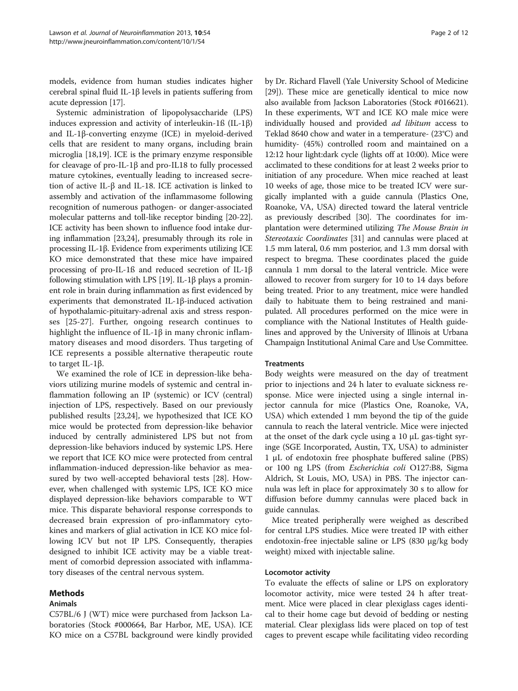models, evidence from human studies indicates higher cerebral spinal fluid IL-1β levels in patients suffering from acute depression [\[17\]](#page-10-0).

Systemic administration of lipopolysaccharide (LPS) induces expression and activity of interleukin-1ß (IL-1β) and IL-1β-converting enzyme (ICE) in myeloid-derived cells that are resident to many organs, including brain microglia [\[18,19\]](#page-10-0). ICE is the primary enzyme responsible for cleavage of pro-IL-1β and pro-IL18 to fully processed mature cytokines, eventually leading to increased secretion of active IL-β and IL-18. ICE activation is linked to assembly and activation of the inflammasome following recognition of numerous pathogen- or danger-associated molecular patterns and toll-like receptor binding [[20](#page-10-0)-[22](#page-10-0)]. ICE activity has been shown to influence food intake during inflammation [[23,24](#page-10-0)], presumably through its role in processing IL-1β. Evidence from experiments utilizing ICE KO mice demonstrated that these mice have impaired processing of pro-IL-1ß and reduced secretion of IL-1β following stimulation with LPS [[19](#page-10-0)]. IL-1 $\beta$  plays a prominent role in brain during inflammation as first evidenced by experiments that demonstrated IL-1β-induced activation of hypothalamic-pituitary-adrenal axis and stress responses [[25-27](#page-10-0)]. Further, ongoing research continues to highlight the influence of IL-1β in many chronic inflammatory diseases and mood disorders. Thus targeting of ICE represents a possible alternative therapeutic route to target IL-1β.

We examined the role of ICE in depression-like behaviors utilizing murine models of systemic and central inflammation following an IP (systemic) or ICV (central) injection of LPS, respectively. Based on our previously published results [[23,24\]](#page-10-0), we hypothesized that ICE KO mice would be protected from depression-like behavior induced by centrally administered LPS but not from depression-like behaviors induced by systemic LPS. Here we report that ICE KO mice were protected from central inflammation-induced depression-like behavior as measured by two well-accepted behavioral tests [\[28\]](#page-10-0). However, when challenged with systemic LPS, ICE KO mice displayed depression-like behaviors comparable to WT mice. This disparate behavioral response corresponds to decreased brain expression of pro-inflammatory cytokines and markers of glial activation in ICE KO mice following ICV but not IP LPS. Consequently, therapies designed to inhibit ICE activity may be a viable treatment of comorbid depression associated with inflammatory diseases of the central nervous system.

# Methods

## Animals

C57BL/6 J (WT) mice were purchased from Jackson Laboratories (Stock #000664, Bar Harbor, ME, USA). ICE KO mice on a C57BL background were kindly provided by Dr. Richard Flavell (Yale University School of Medicine [[29](#page-10-0)]). These mice are genetically identical to mice now also available from Jackson Laboratories (Stock #016621). In these experiments, WT and ICE KO male mice were individually housed and provided ad libitum access to Teklad 8640 chow and water in a temperature- (23°C) and humidity- (45%) controlled room and maintained on a 12:12 hour light:dark cycle (lights off at 10:00). Mice were acclimated to these conditions for at least 2 weeks prior to initiation of any procedure. When mice reached at least 10 weeks of age, those mice to be treated ICV were surgically implanted with a guide cannula (Plastics One, Roanoke, VA, USA) directed toward the lateral ventricle as previously described [\[30\]](#page-10-0). The coordinates for implantation were determined utilizing The Mouse Brain in Stereotaxic Coordinates [\[31\]](#page-11-0) and cannulas were placed at 1.5 mm lateral, 0.6 mm posterior, and 1.3 mm dorsal with respect to bregma. These coordinates placed the guide cannula 1 mm dorsal to the lateral ventricle. Mice were allowed to recover from surgery for 10 to 14 days before being treated. Prior to any treatment, mice were handled daily to habituate them to being restrained and manipulated. All procedures performed on the mice were in compliance with the National Institutes of Health guidelines and approved by the University of Illinois at Urbana Champaign Institutional Animal Care and Use Committee.

## **Treatments**

Body weights were measured on the day of treatment prior to injections and 24 h later to evaluate sickness response. Mice were injected using a single internal injector cannula for mice (Plastics One, Roanoke, VA, USA) which extended 1 mm beyond the tip of the guide cannula to reach the lateral ventricle. Mice were injected at the onset of the dark cycle using a 10 μL gas-tight syringe (SGE Incorporated, Austin, TX, USA) to administer 1 μL of endotoxin free phosphate buffered saline (PBS) or 100 ng LPS (from Escherichia coli O127:B8, Sigma Aldrich, St Louis, MO, USA) in PBS. The injector cannula was left in place for approximately 30 s to allow for diffusion before dummy cannulas were placed back in guide cannulas.

Mice treated peripherally were weighed as described for central LPS studies. Mice were treated IP with either endotoxin-free injectable saline or LPS (830 μg/kg body weight) mixed with injectable saline.

#### Locomotor activity

To evaluate the effects of saline or LPS on exploratory locomotor activity, mice were tested 24 h after treatment. Mice were placed in clear plexiglass cages identical to their home cage but devoid of bedding or nesting material. Clear plexiglass lids were placed on top of test cages to prevent escape while facilitating video recording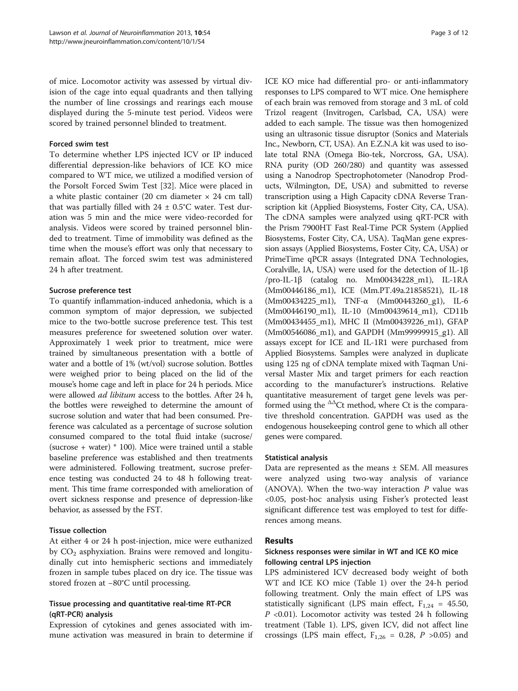of mice. Locomotor activity was assessed by virtual division of the cage into equal quadrants and then tallying the number of line crossings and rearings each mouse displayed during the 5-minute test period. Videos were scored by trained personnel blinded to treatment.

#### Forced swim test

To determine whether LPS injected ICV or IP induced differential depression-like behaviors of ICE KO mice compared to WT mice, we utilized a modified version of the Porsolt Forced Swim Test [[32](#page-11-0)]. Mice were placed in a white plastic container (20 cm diameter  $\times$  24 cm tall) that was partially filled with  $24 \pm 0.5^{\circ}$ C water. Test duration was 5 min and the mice were video-recorded for analysis. Videos were scored by trained personnel blinded to treatment. Time of immobility was defined as the time when the mouse's effort was only that necessary to remain afloat. The forced swim test was administered 24 h after treatment.

#### Sucrose preference test

To quantify inflammation-induced anhedonia, which is a common symptom of major depression, we subjected mice to the two-bottle sucrose preference test. This test measures preference for sweetened solution over water. Approximately 1 week prior to treatment, mice were trained by simultaneous presentation with a bottle of water and a bottle of 1% (wt/vol) sucrose solution. Bottles were weighed prior to being placed on the lid of the mouse's home cage and left in place for 24 h periods. Mice were allowed ad libitum access to the bottles. After 24 h, the bottles were reweighed to determine the amount of sucrose solution and water that had been consumed. Preference was calculated as a percentage of sucrose solution consumed compared to the total fluid intake (sucrose/ (sucrose + water) \* 100). Mice were trained until a stable baseline preference was established and then treatments were administered. Following treatment, sucrose preference testing was conducted 24 to 48 h following treatment. This time frame corresponded with amelioration of overt sickness response and presence of depression-like behavior, as assessed by the FST.

#### Tissue collection

At either 4 or 24 h post-injection, mice were euthanized by  $CO<sub>2</sub>$  asphyxiation. Brains were removed and longitudinally cut into hemispheric sections and immediately frozen in sample tubes placed on dry ice. The tissue was stored frozen at −80°C until processing.

## Tissue processing and quantitative real-time RT-PCR (qRT-PCR) analysis

Expression of cytokines and genes associated with immune activation was measured in brain to determine if ICE KO mice had differential pro- or anti-inflammatory responses to LPS compared to WT mice. One hemisphere of each brain was removed from storage and 3 mL of cold Trizol reagent (Invitrogen, Carlsbad, CA, USA) were added to each sample. The tissue was then homogenized using an ultrasonic tissue disruptor (Sonics and Materials Inc., Newborn, CT, USA). An E.Z.N.A kit was used to isolate total RNA (Omega Bio-tek, Norcross, GA, USA). RNA purity (OD 260/280) and quantity was assessed using a Nanodrop Spectrophotometer (Nanodrop Products, Wilmington, DE, USA) and submitted to reverse transcription using a High Capacity cDNA Reverse Transcription kit (Applied Biosystems, Foster City, CA, USA). The cDNA samples were analyzed using qRT-PCR with the Prism 7900HT Fast Real-Time PCR System (Applied Biosystems, Foster City, CA, USA). TaqMan gene expression assays (Applied Biosystems, Foster City, CA, USA) or PrimeTime qPCR assays (Integrated DNA Technologies, Coralville, IA, USA) were used for the detection of IL-1β /pro-IL-1β (catalog no. Mm00434228\_m1), IL-1RA (Mm00446186\_m1), ICE (Mm.PT.49a.21858521), IL-18 (Mm00434225\_m1), TNF-α (Mm00443260\_g1), IL-6 (Mm00446190\_m1), IL-10 (Mm00439614\_m1), CD11b (Mm00434455\_m1), MHC II (Mm00439226\_m1), GFAP (Mm00546086\_m1), and GAPDH (Mm99999915\_g1). All assays except for ICE and IL-1R1 were purchased from Applied Biosystems. Samples were analyzed in duplicate using 125 ng of cDNA template mixed with Taqman Universal Master Mix and target primers for each reaction according to the manufacturer's instructions. Relative quantitative measurement of target gene levels was performed using the  $\Delta \Delta$ Ct method, where Ct is the comparative threshold concentration. GAPDH was used as the endogenous housekeeping control gene to which all other genes were compared.

#### Statistical analysis

Data are represented as the means ± SEM. All measures were analyzed using two-way analysis of variance (ANOVA). When the two-way interaction  $P$  value was <0.05, post-hoc analysis using Fisher's protected least significant difference test was employed to test for differences among means.

## Results

# Sickness responses were similar in WT and ICE KO mice following central LPS injection

LPS administered ICV decreased body weight of both WT and ICE KO mice (Table [1\)](#page-3-0) over the 24-h period following treatment. Only the main effect of LPS was statistically significant (LPS main effect,  $F_{1,24} = 45.50$ ,  $P \leq 0.01$ ). Locomotor activity was tested 24 h following treatment (Table [1](#page-3-0)). LPS, given ICV, did not affect line crossings (LPS main effect,  $F_{1,26} = 0.28$ ,  $P > 0.05$ ) and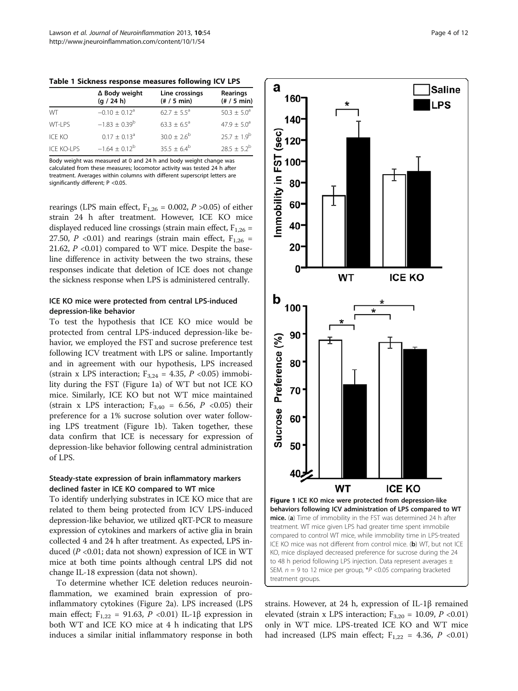<span id="page-3-0"></span>

|  |  |  |  | Table 1 Sickness response measures following ICV LPS |  |  |  |  |
|--|--|--|--|------------------------------------------------------|--|--|--|--|
|--|--|--|--|------------------------------------------------------|--|--|--|--|

|            | $\Delta$ Body weight<br>(q / 24 h) | Line crossings<br>$(* / 5 min)$ | <b>Rearings</b><br>$# / 5$ min) |
|------------|------------------------------------|---------------------------------|---------------------------------|
| WТ         | $-0.10 \pm 0.12$ <sup>a</sup>      | $62.7 \pm 5.5^{\circ}$          | $50.3 \pm 5.0^{\circ}$          |
| WT-LPS     | $-1.83 \pm 0.39^{\circ}$           | $63.3 \pm 6.5^{\circ}$          | $47.9 \pm 5.0^{\circ}$          |
| ICE KO     | $0.17 \pm 0.13$ <sup>a</sup>       | $30.0 \pm 2.6^{\rm b}$          | $25.7 + 1.9^b$                  |
| ICE KO-LPS | $-1.64 + 0.12^b$                   | $35.5 + 6.4^b$                  | $28.5 + 5.2^b$                  |

Body weight was measured at 0 and 24 h and body weight change was calculated from these measures; locomotor activity was tested 24 h after treatment. Averages within columns with different superscript letters are significantly different: P < 0.05.

rearings (LPS main effect,  $F_{1,26} = 0.002$ ,  $P > 0.05$ ) of either strain 24 h after treatment. However, ICE KO mice displayed reduced line crossings (strain main effect,  $F_{1,26}$  = 27.50, P <0.01) and rearings (strain main effect,  $F_{1,26}$  = 21.62,  $P$  <0.01) compared to WT mice. Despite the baseline difference in activity between the two strains, these responses indicate that deletion of ICE does not change the sickness response when LPS is administered centrally.

# ICE KO mice were protected from central LPS-induced depression-like behavior

To test the hypothesis that ICE KO mice would be protected from central LPS-induced depression-like behavior, we employed the FST and sucrose preference test following ICV treatment with LPS or saline. Importantly and in agreement with our hypothesis, LPS increased (strain x LPS interaction;  $F_{3,24} = 4.35$ ,  $P < 0.05$ ) immobility during the FST (Figure 1a) of WT but not ICE KO mice. Similarly, ICE KO but not WT mice maintained (strain x LPS interaction;  $F_{3,40} = 6.56$ ,  $P < 0.05$ ) their preference for a 1% sucrose solution over water following LPS treatment (Figure 1b). Taken together, these data confirm that ICE is necessary for expression of depression-like behavior following central administration of LPS.

# Steady-state expression of brain inflammatory markers declined faster in ICE KO compared to WT mice

To identify underlying substrates in ICE KO mice that are related to them being protected from ICV LPS-induced depression-like behavior, we utilized qRT-PCR to measure expression of cytokines and markers of active glia in brain collected 4 and 24 h after treatment. As expected, LPS induced ( $P \le 0.01$ ; data not shown) expression of ICE in WT mice at both time points although central LPS did not change IL-18 expression (data not shown).

To determine whether ICE deletion reduces neuroinflammation, we examined brain expression of proinflammatory cytokines (Figure [2](#page-4-0)a). LPS increased (LPS main effect;  $F_{1,22} = 91.63$ ,  $P < 0.01$ ) IL-1 $\beta$  expression in both WT and ICE KO mice at 4 h indicating that LPS induces a similar initial inflammatory response in both



strains. However, at 24 h, expression of IL-1β remained elevated (strain x LPS interaction;  $F_{3,20} = 10.09$ ,  $P < 0.01$ ) only in WT mice. LPS-treated ICE KO and WT mice had increased (LPS main effect;  $F_{1,22} = 4.36$ ,  $P < 0.01$ )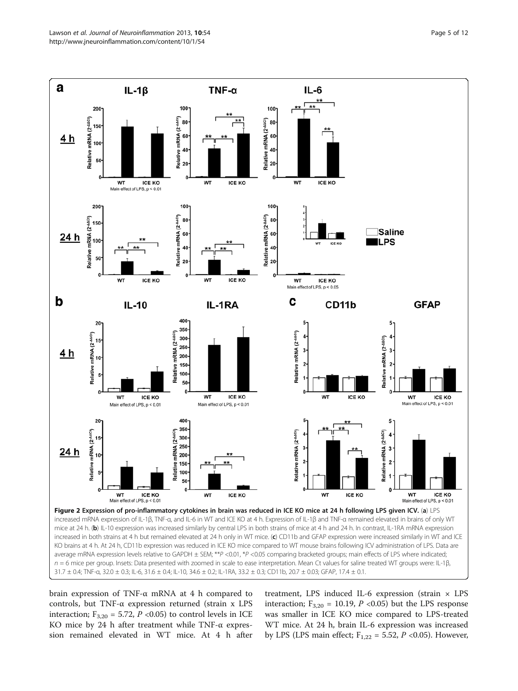<span id="page-4-0"></span>

brain expression of TNF-α mRNA at 4 h compared to controls, but TNF-α expression returned (strain x LPS interaction;  $F_{3,20} = 5.72$ ,  $P < 0.05$ ) to control levels in ICE KO mice by 24 h after treatment while TNF-α expression remained elevated in WT mice. At 4 h after

treatment, LPS induced IL-6 expression (strain  $\times$  LPS interaction;  $F_{3,20} = 10.19$ ,  $P < 0.05$ ) but the LPS response was smaller in ICE KO mice compared to LPS-treated WT mice. At 24 h, brain IL-6 expression was increased by LPS (LPS main effect;  $F_{1,22} = 5.52$ ,  $P < 0.05$ ). However,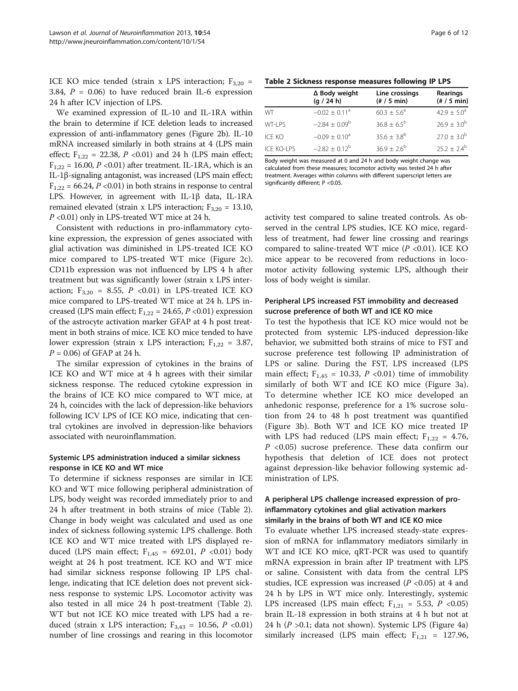ICE KO mice tended (strain x LPS interaction;  $F_{3,20}$  = 3.84,  $P = 0.06$ ) to have reduced brain IL-6 expression 24 h after ICV injection of LPS.

We examined expression of IL-10 and IL-1RA within the brain to determine if ICE deletion leads to increased expression of anti-inflammatory genes (Figure [2b](#page-4-0)). IL-10 mRNA increased similarly in both strains at 4 (LPS main effect;  $F_{1,22} = 22.38$ ,  $P < 0.01$ ) and 24 h (LPS main effect;  $F_{1,22} = 16.00, P \le 0.01$ ) after treatment. IL-1RA, which is an IL-1β-signaling antagonist, was increased (LPS main effect;  $F_{1,22} = 66.24$ ,  $P < 0.01$ ) in both strains in response to central LPS. However, in agreement with IL-1β data, IL-1RA remained elevated (strain x LPS interaction;  $F_{3,20} = 13.10$ , P <0.01) only in LPS-treated WT mice at 24 h.

Consistent with reductions in pro-inflammatory cytokine expression, the expression of genes associated with glial activation was diminished in LPS-treated ICE KO mice compared to LPS-treated WT mice (Figure [2c](#page-4-0)). CD11b expression was not influenced by LPS 4 h after treatment but was significantly lower (strain x LPS interaction;  $F_{3,20}$  = 8.55, P <0.01) in LPS-treated ICE KO mice compared to LPS-treated WT mice at 24 h. LPS increased (LPS main effect;  $F_{1,22} = 24.65$ ,  $P < 0.01$ ) expression of the astrocyte activation marker GFAP at 4 h post treatment in both strains of mice. ICE KO mice tended to have lower expression (strain x LPS interaction;  $F_{1,22} = 3.87$ ,  $P = 0.06$ ) of GFAP at 24 h.

The similar expression of cytokines in the brains of ICE KO and WT mice at 4 h agrees with their similar sickness response. The reduced cytokine expression in the brains of ICE KO mice compared to WT mice, at 24 h, coincides with the lack of depression-like behaviors following ICV LPS of ICE KO mice, indicating that central cytokines are involved in depression-like behaviors associated with neuroinflammation.

#### Systemic LPS administration induced a similar sickness response in ICE KO and WT mice

To determine if sickness responses are similar in ICE KO and WT mice following peripheral administration of LPS, body weight was recorded immediately prior to and 24 h after treatment in both strains of mice (Table 2). Change in body weight was calculated and used as one index of sickness following systemic LPS challenge. Both ICE KO and WT mice treated with LPS displayed reduced (LPS main effect;  $F_{1,45} = 692.01$ ,  $P < 0.01$ ) body weight at 24 h post treatment. ICE KO and WT mice had similar sickness response following IP LPS challenge, indicating that ICE deletion does not prevent sickness response to systemic LPS. Locomotor activity was also tested in all mice 24 h post-treatment (Table 2). WT but not ICE KO mice treated with LPS had a reduced (strain x LPS interaction;  $F_{3,43} = 10.56$ ,  $P < 0.01$ ) number of line crossings and rearing in this locomotor

| Table 2 Sickness response measures following IP LPS |  |  |  |
|-----------------------------------------------------|--|--|--|
|-----------------------------------------------------|--|--|--|

|            | ∆ Body weight<br>(q / 24 h)   | Line crossings<br>$(* / 5 min)$ | <b>Rearings</b><br>$(* / 5 min)$ |
|------------|-------------------------------|---------------------------------|----------------------------------|
| <b>WT</b>  | $-0.02 \pm 0.11$ <sup>a</sup> | $60.3 \pm 5.6^{\circ}$          | $42.9 \pm 5.0^{\circ}$           |
| WT-LPS     | $-2.84 \pm 0.09^{\rm b}$      | $36.8 \pm 6.5^{b}$              | $26.9 \pm 3.0^{b}$               |
| ICE KO     | $-0.09 \pm 0.10^a$            | $35.6 \pm 3.8^{\rm b}$          | $27.0 \pm 3.0^{\rm b}$           |
| ICE KO-LPS | $-2.82 + 0.12^b$              | $36.9 + 2.6^{b}$                | $25.2 + 2.4^b$                   |

Body weight was measured at 0 and 24 h and body weight change was calculated from these measures; locomotor activity was tested 24 h after treatment. Averages within columns with different superscript letters are significantly different: P <0.05.

activity test compared to saline treated controls. As observed in the central LPS studies, ICE KO mice, regardless of treatment, had fewer line crossing and rearings compared to saline-treated WT mice  $(P < 0.01)$ . ICE KO mice appear to be recovered from reductions in locomotor activity following systemic LPS, although their loss of body weight is similar.

#### Peripheral LPS increased FST immobility and decreased sucrose preference of both WT and ICE KO mice

To test the hypothesis that ICE KO mice would not be protected from systemic LPS-induced depression-like behavior, we submitted both strains of mice to FST and sucrose preference test following IP administration of LPS or saline. During the FST, LPS increased (LPS main effect;  $F_{1,45} = 10.33$ ,  $P < 0.01$ ) time of immobility similarly of both WT and ICE KO mice (Figure [3a](#page-6-0)). To determine whether ICE KO mice developed an anhedonic response, preference for a 1% sucrose solution from 24 to 48 h post treatment was quantified (Figure [3b](#page-6-0)). Both WT and ICE KO mice treated IP with LPS had reduced (LPS main effect;  $F_{1,22} = 4.76$ ,  $P \le 0.05$ ) sucrose preference. These data confirm our hypothesis that deletion of ICE does not protect against depression-like behavior following systemic administration of LPS.

# A peripheral LPS challenge increased expression of proinflammatory cytokines and glial activation markers similarly in the brains of both WT and ICE KO mice

To evaluate whether LPS increased steady-state expression of mRNA for inflammatory mediators similarly in WT and ICE KO mice, qRT-PCR was used to quantify mRNA expression in brain after IP treatment with LPS or saline. Consistent with data from the central LPS studies, ICE expression was increased ( $P < 0.05$ ) at 4 and 24 h by LPS in WT mice only. Interestingly, systemic LPS increased (LPS main effect;  $F_{1,21} = 5.53$ ,  $P < 0.05$ ) brain IL-18 expression in both strains at 4 h but not at 24 h ( $P > 0.1$ ; data not shown). Systemic LPS (Figure [4](#page-7-0)a) similarly increased (LPS main effect;  $F_{1,21} = 127.96$ ,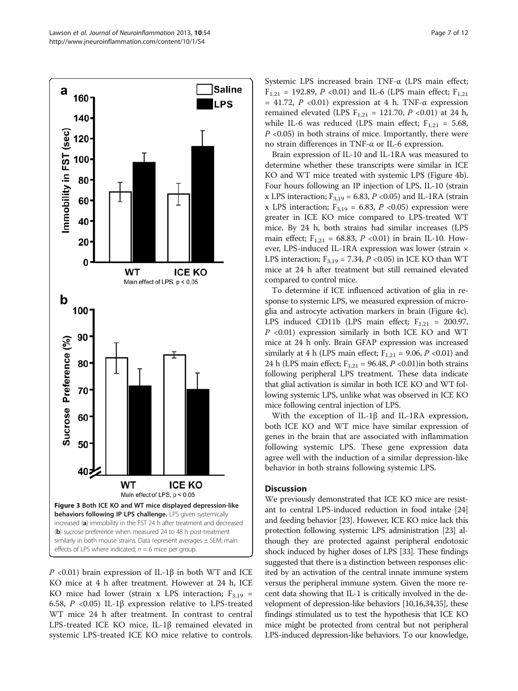<span id="page-6-0"></span>

P <0.01) brain expression of IL-1β in both WT and ICE KO mice at 4 h after treatment. However at 24 h, ICE KO mice had lower (strain x LPS interaction;  $F_{3,19}$  = 6.58, P <0.05) IL-1β expression relative to LPS-treated WT mice 24 h after treatment. In contrast to central LPS-treated ICE KO mice, IL-1β remained elevated in systemic LPS-treated ICE KO mice relative to controls.

Systemic LPS increased brain TNF-α (LPS main effect;  $F_{1,21}$  = 192.89, P < 0.01) and IL-6 (LPS main effect;  $F_{1,21}$ = 41.72,  $P$  <0.01) expression at 4 h. TNF-α expression remained elevated (LPS  $F_{1,21} = 121.70$ ,  $P < 0.01$ ) at 24 h, while IL-6 was reduced (LPS main effect;  $F_{1,21} = 5.68$ ,  $P \leq 0.05$ ) in both strains of mice. Importantly, there were no strain differences in TNF-α or IL-6 expression.

Brain expression of IL-10 and IL-1RA was measured to determine whether these transcripts were similar in ICE KO and WT mice treated with systemic LPS (Figure [4](#page-7-0)b). Four hours following an IP injection of LPS, IL-10 (strain x LPS interaction;  $F_{3,19} = 6.83$ ,  $P < 0.05$ ) and IL-1RA (strain x LPS interaction;  $F_{3,19} = 6.83$ ,  $P < 0.05$ ) expression were greater in ICE KO mice compared to LPS-treated WT mice. By 24 h, both strains had similar increases (LPS main effect;  $F_{1,21} = 68.83$ ,  $P < 0.01$ ) in brain IL-10. However, LPS-induced IL-1RA expression was lower (strain × LPS interaction;  $F_{3,19} = 7.34$ ,  $P < 0.05$ ) in ICE KO than WT mice at 24 h after treatment but still remained elevated compared to control mice.

To determine if ICE influenced activation of glia in response to systemic LPS, we measured expression of microglia and astrocyte activation markers in brain (Figure [4](#page-7-0)c). LPS induced CD11b (LPS main effect;  $F_{1,21} = 200.97$  $P$  <0.01) expression similarly in both ICE KO and WT mice at 24 h only. Brain GFAP expression was increased similarly at 4 h (LPS main effect;  $F_{1,21} = 9.06$ ,  $P < 0.01$ ) and 24 h (LPS main effect;  $F_{1,21} = 96.48$ ,  $P < 0.01$ )in both strains following peripheral LPS treatment. These data indicate that glial activation is similar in both ICE KO and WT following systemic LPS, unlike what was observed in ICE KO mice following central injection of LPS.

With the exception of IL-1β and IL-1RA expression, both ICE KO and WT mice have similar expression of genes in the brain that are associated with inflammation following systemic LPS. These gene expression data agree well with the induction of a similar depression-like behavior in both strains following systemic LPS.

# **Discussion**

We previously demonstrated that ICE KO mice are resistant to central LPS-induced reduction in food intake [\[24](#page-10-0)] and feeding behavior [\[23](#page-10-0)]. However, ICE KO mice lack this protection following systemic LPS administration [[23](#page-10-0)] although they are protected against peripheral endotoxic shock induced by higher doses of LPS [[33](#page-11-0)]. These findings suggested that there is a distinction between responses elicited by an activation of the central innate immune system versus the peripheral immune system. Given the more recent data showing that IL-1 is critically involved in the development of depression-like behaviors [\[10,16](#page-10-0)[,34,35\]](#page-11-0), these findings stimulated us to test the hypothesis that ICE KO mice might be protected from central but not peripheral LPS-induced depression-like behaviors. To our knowledge,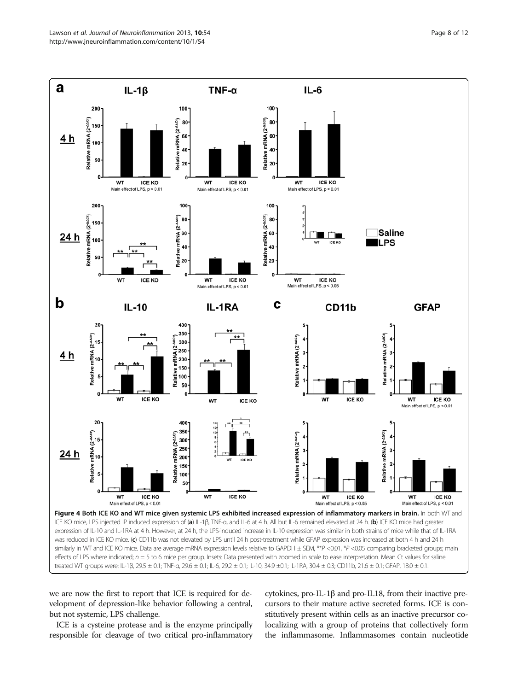<span id="page-7-0"></span>

we are now the first to report that ICE is required for development of depression-like behavior following a central, but not systemic, LPS challenge.

ICE is a cysteine protease and is the enzyme principally responsible for cleavage of two critical pro-inflammatory

cytokines, pro-IL-1β and pro-IL18, from their inactive precursors to their mature active secreted forms. ICE is constitutively present within cells as an inactive precursor colocalizing with a group of proteins that collectively form the inflammasome. Inflammasomes contain nucleotide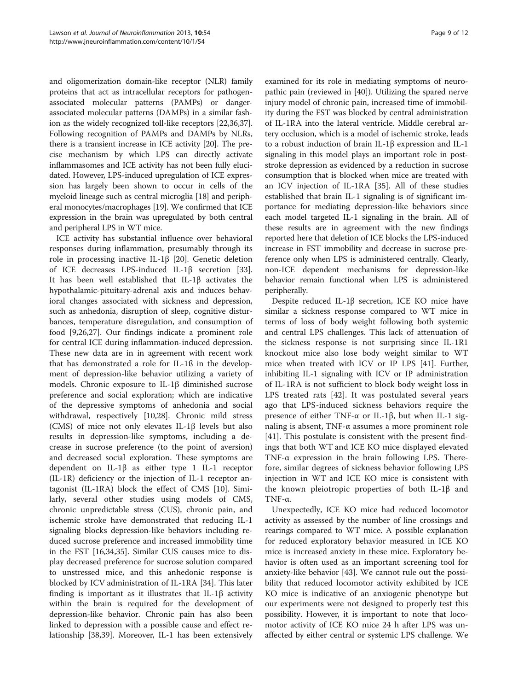and oligomerization domain-like receptor (NLR) family proteins that act as intracellular receptors for pathogenassociated molecular patterns (PAMPs) or dangerassociated molecular patterns (DAMPs) in a similar fashion as the widely recognized toll-like receptors [\[22,](#page-10-0)[36,37](#page-11-0)]. Following recognition of PAMPs and DAMPs by NLRs, there is a transient increase in ICE activity [[20](#page-10-0)]. The precise mechanism by which LPS can directly activate inflammasomes and ICE activity has not been fully elucidated. However, LPS-induced upregulation of ICE expression has largely been shown to occur in cells of the myeloid lineage such as central microglia [[18\]](#page-10-0) and peripheral monocytes/macrophages [\[19\]](#page-10-0). We confirmed that ICE expression in the brain was upregulated by both central and peripheral LPS in WT mice.

ICE activity has substantial influence over behavioral responses during inflammation, presumably through its role in processing inactive IL-1β [\[20](#page-10-0)]. Genetic deletion of ICE decreases LPS-induced IL-1β secretion [\[33](#page-11-0)]. It has been well established that IL-1β activates the hypothalamic-pituitary-adrenal axis and induces behavioral changes associated with sickness and depression, such as anhedonia, disruption of sleep, cognitive disturbances, temperature disregulation, and consumption of food [[9,26,27\]](#page-10-0). Our findings indicate a prominent role for central ICE during inflammation-induced depression. These new data are in in agreement with recent work that has demonstrated a role for IL-1ß in the development of depression-like behavior utilizing a variety of models. Chronic exposure to IL-1β diminished sucrose preference and social exploration; which are indicative of the depressive symptoms of anhedonia and social withdrawal, respectively [\[10,28](#page-10-0)]. Chronic mild stress (CMS) of mice not only elevates IL-1β levels but also results in depression-like symptoms, including a decrease in sucrose preference (to the point of aversion) and decreased social exploration. These symptoms are dependent on IL-1β as either type 1 IL-1 receptor (IL-1R) deficiency or the injection of IL-1 receptor antagonist (IL-1RA) block the effect of CMS [[10\]](#page-10-0). Similarly, several other studies using models of CMS, chronic unpredictable stress (CUS), chronic pain, and ischemic stroke have demonstrated that reducing IL-1 signaling blocks depression-like behaviors including reduced sucrose preference and increased immobility time in the FST [[16,](#page-10-0)[34](#page-11-0),[35](#page-11-0)]. Similar CUS causes mice to display decreased preference for sucrose solution compared to unstressed mice, and this anhedonic response is blocked by ICV administration of IL-1RA [\[34](#page-11-0)]. This later finding is important as it illustrates that IL-1β activity within the brain is required for the development of depression-like behavior. Chronic pain has also been linked to depression with a possible cause and effect relationship [[38](#page-11-0),[39](#page-11-0)]. Moreover, IL-1 has been extensively

examined for its role in mediating symptoms of neuropathic pain (reviewed in [\[40](#page-11-0)]). Utilizing the spared nerve injury model of chronic pain, increased time of immobility during the FST was blocked by central administration of IL-1RA into the lateral ventricle. Middle cerebral artery occlusion, which is a model of ischemic stroke, leads to a robust induction of brain IL-1β expression and IL-1 signaling in this model plays an important role in poststroke depression as evidenced by a reduction in sucrose consumption that is blocked when mice are treated with an ICV injection of IL-1RA [[35\]](#page-11-0). All of these studies established that brain IL-1 signaling is of significant importance for mediating depression-like behaviors since each model targeted IL-1 signaling in the brain. All of these results are in agreement with the new findings reported here that deletion of ICE blocks the LPS-induced increase in FST immobility and decrease in sucrose preference only when LPS is administered centrally. Clearly, non-ICE dependent mechanisms for depression-like behavior remain functional when LPS is administered peripherally.

Despite reduced IL-1β secretion, ICE KO mice have similar a sickness response compared to WT mice in terms of loss of body weight following both systemic and central LPS challenges. This lack of attenuation of the sickness response is not surprising since IL-1R1 knockout mice also lose body weight similar to WT mice when treated with ICV or IP LPS [\[41](#page-11-0)]. Further, inhibiting IL-1 signaling with ICV or IP administration of IL-1RA is not sufficient to block body weight loss in LPS treated rats [[42\]](#page-11-0). It was postulated several years ago that LPS-induced sickness behaviors require the presence of either TNF-α or IL-1β, but when IL-1 signaling is absent, TNF-α assumes a more prominent role [[41\]](#page-11-0). This postulate is consistent with the present findings that both WT and ICE KO mice displayed elevated TNF-α expression in the brain following LPS. Therefore, similar degrees of sickness behavior following LPS injection in WT and ICE KO mice is consistent with the known pleiotropic properties of both IL-1β and TNF-α.

Unexpectedly, ICE KO mice had reduced locomotor activity as assessed by the number of line crossings and rearings compared to WT mice. A possible explanation for reduced exploratory behavior measured in ICE KO mice is increased anxiety in these mice. Exploratory behavior is often used as an important screening tool for anxiety-like behavior [\[43\]](#page-11-0). We cannot rule out the possibility that reduced locomotor activity exhibited by ICE KO mice is indicative of an anxiogenic phenotype but our experiments were not designed to properly test this possibility. However, it is important to note that locomotor activity of ICE KO mice 24 h after LPS was unaffected by either central or systemic LPS challenge. We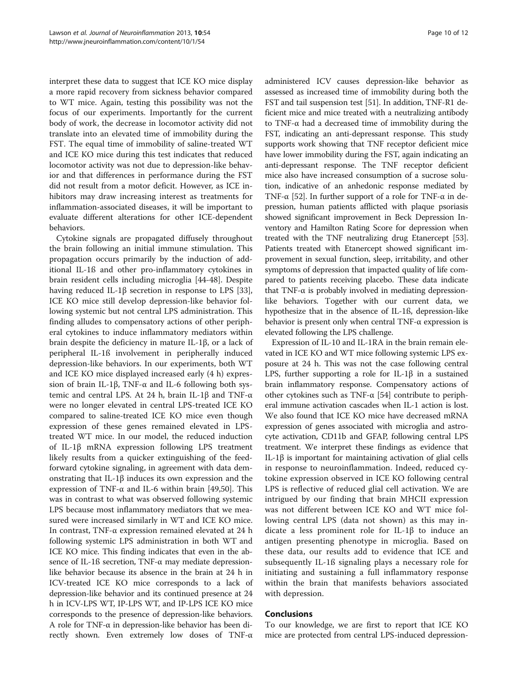interpret these data to suggest that ICE KO mice display a more rapid recovery from sickness behavior compared to WT mice. Again, testing this possibility was not the focus of our experiments. Importantly for the current body of work, the decrease in locomotor activity did not translate into an elevated time of immobility during the FST. The equal time of immobility of saline-treated WT and ICE KO mice during this test indicates that reduced locomotor activity was not due to depression-like behavior and that differences in performance during the FST did not result from a motor deficit. However, as ICE inhibitors may draw increasing interest as treatments for inflammation-associated diseases, it will be important to evaluate different alterations for other ICE-dependent behaviors.

Cytokine signals are propagated diffusely throughout the brain following an initial immune stimulation. This propagation occurs primarily by the induction of additional IL-1ß and other pro-inflammatory cytokines in brain resident cells including microglia [\[44](#page-11-0)-[48\]](#page-11-0). Despite having reduced IL-1β secretion in response to LPS [\[33](#page-11-0)], ICE KO mice still develop depression-like behavior following systemic but not central LPS administration. This finding alludes to compensatory actions of other peripheral cytokines to induce inflammatory mediators within brain despite the deficiency in mature IL-1β, or a lack of peripheral IL-1ß involvement in peripherally induced depression-like behaviors. In our experiments, both WT and ICE KO mice displayed increased early (4 h) expression of brain IL-1β, TNF-α and IL-6 following both systemic and central LPS. At 24 h, brain IL-1β and TNF-α were no longer elevated in central LPS-treated ICE KO compared to saline-treated ICE KO mice even though expression of these genes remained elevated in LPStreated WT mice. In our model, the reduced induction of IL-1β mRNA expression following LPS treatment likely results from a quicker extinguishing of the feedforward cytokine signaling, in agreement with data demonstrating that IL-1β induces its own expression and the expression of TNF-α and IL-6 within brain [[49,50\]](#page-11-0). This was in contrast to what was observed following systemic LPS because most inflammatory mediators that we measured were increased similarly in WT and ICE KO mice. In contrast, TNF-α expression remained elevated at 24 h following systemic LPS administration in both WT and ICE KO mice. This finding indicates that even in the absence of IL-1ß secretion, TNF-α may mediate depressionlike behavior because its absence in the brain at 24 h in ICV-treated ICE KO mice corresponds to a lack of depression-like behavior and its continued presence at 24 h in ICV-LPS WT, IP-LPS WT, and IP-LPS ICE KO mice corresponds to the presence of depression-like behaviors. A role for TNF-α in depression-like behavior has been directly shown. Even extremely low doses of TNF-α

administered ICV causes depression-like behavior as assessed as increased time of immobility during both the FST and tail suspension test [\[51\]](#page-11-0). In addition, TNF-R1 deficient mice and mice treated with a neutralizing antibody to TNF-α had a decreased time of immobility during the FST, indicating an anti-depressant response. This study supports work showing that TNF receptor deficient mice have lower immobility during the FST, again indicating an anti-depressant response. The TNF receptor deficient mice also have increased consumption of a sucrose solution, indicative of an anhedonic response mediated by TNF- $\alpha$  [[52](#page-11-0)]. In further support of a role for TNF- $\alpha$  in depression, human patients afflicted with plaque psoriasis showed significant improvement in Beck Depression Inventory and Hamilton Rating Score for depression when treated with the TNF neutralizing drug Etanercept [[53](#page-11-0)]. Patients treated with Etanercept showed significant improvement in sexual function, sleep, irritability, and other symptoms of depression that impacted quality of life compared to patients receiving placebo. These data indicate that TNF- $\alpha$  is probably involved in mediating depressionlike behaviors. Together with our current data, we hypothesize that in the absence of IL-1ß, depression-like behavior is present only when central TNF-α expression is elevated following the LPS challenge.

Expression of IL-10 and IL-1RA in the brain remain elevated in ICE KO and WT mice following systemic LPS exposure at 24 h. This was not the case following central LPS, further supporting a role for IL-1β in a sustained brain inflammatory response. Compensatory actions of other cytokines such as TNF- $\alpha$  [[54\]](#page-11-0) contribute to peripheral immune activation cascades when IL-1 action is lost. We also found that ICE KO mice have decreased mRNA expression of genes associated with microglia and astrocyte activation, CD11b and GFAP, following central LPS treatment. We interpret these findings as evidence that IL-1β is important for maintaining activation of glial cells in response to neuroinflammation. Indeed, reduced cytokine expression observed in ICE KO following central LPS is reflective of reduced glial cell activation. We are intrigued by our finding that brain MHCII expression was not different between ICE KO and WT mice following central LPS (data not shown) as this may indicate a less prominent role for IL-1β to induce an antigen presenting phenotype in microglia. Based on these data, our results add to evidence that ICE and subsequently IL-1ß signaling plays a necessary role for initiating and sustaining a full inflammatory response within the brain that manifests behaviors associated with depression.

## Conclusions

To our knowledge, we are first to report that ICE KO mice are protected from central LPS-induced depression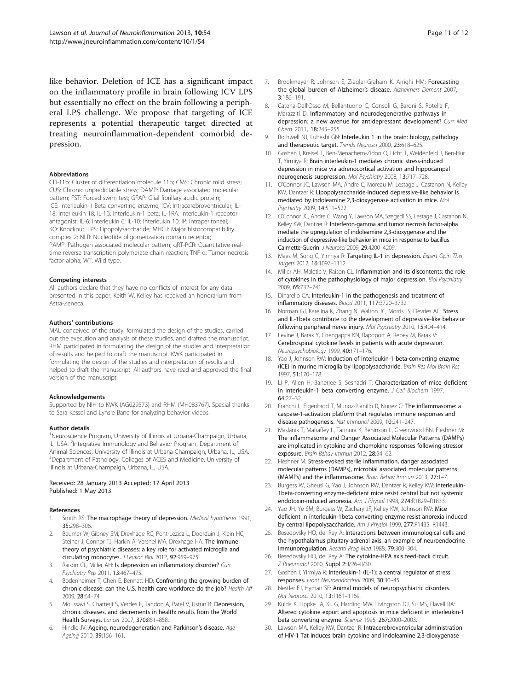<span id="page-10-0"></span>like behavior. Deletion of ICE has a significant impact on the inflammatory profile in brain following ICV LPS but essentially no effect on the brain following a peripheral LPS challenge. We propose that targeting of ICE represents a potential therapeutic target directed at treating neuroinflammation-dependent comorbid depression.

#### Abbreviations

CD-11b: Cluster of differentiation molecule 11b; CMS: Chronic mild stress; CUS: Chronic unpredictable stress; DAMP: Damage associated molecular pattern; FST: Forced swim test; GFAP: Glial fibrillary acidic protein; ICE: Interleukin-1 Beta converting enzyme; ICV: Intracerebroventricular; IL-18: Interleukin 18; IL-1β: Interleukin-1 beta; IL-1RA: Interleukin-1 receptor antagonist; IL-6: Interleukin 6; IL-10: Interleukin 10; IP: Intraperitoneal; KO: Knockout; LPS: Lipopolysaccharide; MHCII: Major histocompatibility complex 2; NLR: Nucleotide oligomerization domain receptor; PAMP: Pathogen associated molecular pattern; qRT-PCR: Quantitative realtime reverse transcription polymerase chain reaction; TNF-α: Tumor necrosis factor alpha; WT: Wild type.

#### Competing interests

All authors declare that they have no conflicts of interest for any data presented in this paper. Keith W. Kelley has received an honorarium from Astra-Zeneca.

#### Authors' contributions

MAL conceived of the study, formulated the design of the studies, carried out the execution and analysis of these studies, and drafted the manuscript. RHM participated in formulating the design of the studies and interpretation of results and helped to draft the manuscript. KWK participated in formulating the design of the studies and interpretation of results and helped to draft the manuscript. All authors have read and approved the final version of the manuscript.

#### Acknowledgements

Supported by NIH to KWK (AG029573) and RHM (MH083767). Special thanks to Sara Kessel and Lynsie Bane for analyzing behavior videos.

#### Author details

<sup>1</sup>Neuroscience Program, University of Illinois at Urbana-Champaign, Urbana, IL, USA. <sup>2</sup>Integrative Immunology and Behavior Program, Department of Animal Sciences, University of Illinois at Urbana-Champaign, Urbana, IL, USA. <sup>3</sup>Department of Pathology, Colleges of ACES and Medicine, University of Illinois at Urbana-Champaign, Urbana, IL, USA.

#### Received: 28 January 2013 Accepted: 17 April 2013 Published: 1 May 2013

#### References

- 1. Smith RS: The macrophage theory of depression. Medical hypotheses 1991, 35:298–306.
- 2. Beumer W, Gibney SM, Drexhage RC, Pont-Lezica L, Doorduin J, Klein HC, Steiner J, Connor TJ, Harkin A, Versnel MA, Drexhage HA: The immune theory of psychiatric diseases: a key role for activated microglia and circulating monocytes. J Leukoc Biol 2012, 92:959–975.
- 3. Raison CL, Miller AH: Is depression an inflammatory disorder? Curr Psychiatry Rep 2011, 13:467–475.
- 4. Bodenheimer T, Chen E, Bennett HD: Confronting the growing burden of chronic disease: can the U.S. health care workforce do the job? Health Aff 2009, 28:64–74.
- 5. Moussavi S, Chatterji S, Verdes E, Tandon A, Patel V, Ustun B: Depression, chronic diseases, and decrements in health: results from the World Health Surveys. Lancet 2007, 370:851–858.
- 6. Hindle JV: Ageing, neurodegeneration and Parkinson's disease. Age Ageing 2010, 39:156–161.
- 7. Brookmeyer R, Johnson E, Ziegler-Graham K, Arrighi HM: Forecasting the global burden of Alzheimer's disease. Alzheimers Dement 2007, 3:186–191.
- 8. Catena-Dell'Osso M, Bellantuono C, Consoli G, Baroni S, Rotella F, Marazziti D: Inflammatory and neurodegenerative pathways in depression: a new avenue for antidepressant development? Curr Med Chem 2011, 18:245–255.
- 9. Rothwell NJ, Luheshi GN: Interleukin 1 in the brain: biology, pathology and therapeutic target. Trends Neurosci 2000, 23:618–625.
- 10. Goshen I, Kreisel T, Ben-Menachem-Zidon O, Licht T, Weidenfeld J, Ben-Hur T, Yirmiya R: Brain interleukin-1 mediates chronic stress-induced depression in mice via adrenocortical activation and hippocampal neurogenesis suppression. Mol Psychiatry 2008, 13:717–728.
- 11. O'Connor JC, Lawson MA, Andre C, Moreau M, Lestage J, Castanon N, Kelley KW, Dantzer R: Lipopolysaccharide-induced depressive-like behavior is mediated by indoleamine 2,3-dioxygenase activation in mice. Mol Psychiatry 2009, 14:511–522.
- 12. O'Connor JC, Andre C, Wang Y, Lawson MA, Szegedi SS, Lestage J, Castanon N, Kelley KW, Dantzer R: Interferon-gamma and tumor necrosis factor-alpha mediate the upregulation of indoleamine 2,3-dioxygenase and the induction of depressive-like behavior in mice in response to bacillus Calmette-Guerin. J Neurosci 2009, 29:4200–4209.
- 13. Maes M, Song C, Yirmiya R: Targeting IL-1 in depression. Expert Opin Ther Targets 2012, 16:1097–1112.
- 14. Miller AH, Maletic V, Raison CL: Inflammation and its discontents: the role of cytokines in the pathophysiology of major depression. Biol Psychiatry 2009, 65:732–741.
- 15. Dinarello CA: Interleukin-1 in the pathogenesis and treatment of inflammatory diseases. Blood 2011, 117:3720–3732.
- 16. Norman GJ, Karelina K, Zhang N, Walton JC, Morris JS, Devries AC: Stress and IL-1beta contribute to the development of depressive-like behavior following peripheral nerve injury. Mol Psychiatry 2010, 15:404–414.
- 17. Levine J, Barak Y, Chengappa KN, Rapoport A, Rebey M, Barak V: Cerebrospinal cytokine levels in patients with acute depression. Neuropsychobiology 1999, 40:171–176.
- 18. Yao J, Johnson RW: Induction of interleukin-1 beta-converting enzyme (ICE) in murine microglia by lipopolysaccharide. Brain Res Mol Brain Res 1997, 51:170–178.
- 19. Li P, Allen H, Banerjee S, Seshadri T: Characterization of mice deficient in interleukin-1 beta converting enzyme. J Cell Biochem 1997, 64:27–32.
- 20. Franchi L, Eigenbrod T, Munoz-Planillo R, Nunez G: The inflammasome: a caspase-1-activation platform that regulates immune responses and disease pathogenesis. Nat Immunol 2009, 10:241–247.
- 21. Maslanik T, Mahaffey L, Tannura K, Beninson L, Greenwood BN, Fleshner M: The inflammasome and Danger Associated Molecular Patterns (DAMPs) are implicated in cytokine and chemokine responses following stressor exposure. Brain Behav Immun 2012, 28:54–62.
- 22. Fleshner M: Stress-evoked sterile inflammation, danger associated molecular patterns (DAMPs), microbial associated molecular patterns (MAMPs) and the inflammasome. Brain Behav Immun 2013, 27:1–7.
- 23. Burgess W, Gheusi G, Yao J, Johnson RW, Dantzer R, Kelley KW: Interleukin-1beta-converting enzyme-deficient mice resist central but not systemic endotoxin-induced anorexia. Am J Physiol 1998, 274:R1829-R1833.
- 24. Yao JH, Ye SM, Burgess W, Zachary JF, Kelley KW, Johnson RW: Mice deficient in interleukin-1beta converting enzyme resist anorexia induced by central lipopolysaccharide. Am J Physiol 1999, 277:R1435-R1443.
- 25. Besedovsky HO, del Rey A: Interactions between immunological cells and the hypothalamus pituitary-adrenal axis: an example of neuroendocrine immunoregulation. Recenti Prog Med 1988, 79:300–304.
- 26. Besedovsky HO, del Rey A: The cytokine-HPA axis feed-back circuit. Z Rheumatol 2000, Suppl 2:II/26–II/30.
- 27. Goshen I, Yirmiya R: Interleukin-1 (IL-1): a central regulator of stress responses. Front Neuroendocrinol 2009, 30:30–45.
- 28. Nestler EJ, Hyman SE: Animal models of neuropsychiatric disorders. Nat Neurosci 2010, 13:1161–1169.
- 29. Kuida K, Lippke JA, Ku G, Harding MW, Livingston DJ, Su MS, Flavell RA: Altered cytokine export and apoptosis in mice deficient in interleukin-1 beta converting enzyme. Science 1995, 267:2000–2003.
- 30. Lawson MA, Kelley KW, Dantzer R: Intracerebroventricular administration of HIV-1 Tat induces brain cytokine and indoleamine 2,3-dioxygenase